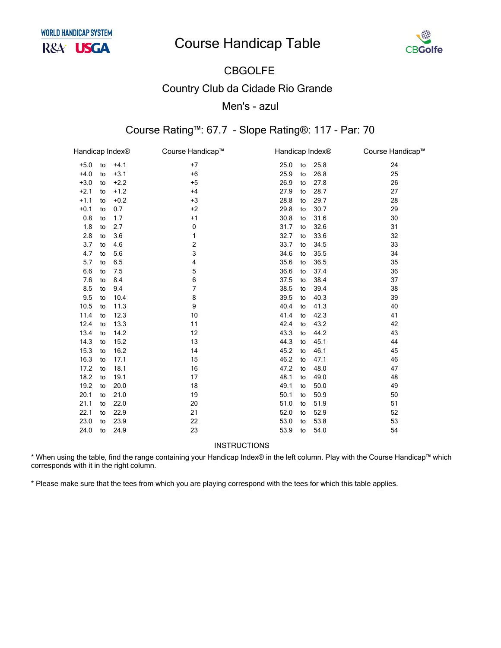# **Course Handicap Table**



#### **CBGOLFE Country Club da Cidade Rio Grande** Men's - azul

#### Course Rating™: 67.7 - Slope Rating®: 117 - Par: 70

| Handicap Index® |    |        | Course Handicap™ | Handicap Index® |    |      | Course Handicap™ |
|-----------------|----|--------|------------------|-----------------|----|------|------------------|
| $+5.0$          | to | $+4.1$ | $+7$             | 25.0            | to | 25.8 | 24               |
| $+4.0$          | to | $+3.1$ | $+6$             | 25.9            | to | 26.8 | 25               |
| $+3.0$          | to | $+2.2$ | $+5$             | 26.9            | to | 27.8 | 26               |
| $+2.1$          | to | $+1.2$ | $+4$             | 27.9            | to | 28.7 | 27               |
| $+1.1$          | to | $+0.2$ | $+3$             | 28.8            | to | 29.7 | 28               |
| $+0.1$          | to | 0.7    | $+2$             | 29.8            | to | 30.7 | 29               |
| 0.8             | to | 1.7    | $+1$             | 30.8            | to | 31.6 | 30               |
| 1.8             | to | 2.7    | 0                | 31.7            | to | 32.6 | 31               |
| 2.8             | to | 3.6    | 1                | 32.7            | to | 33.6 | 32               |
| 3.7             | to | 4.6    | 2                | 33.7            | to | 34.5 | 33               |
| 4.7             | to | 5.6    | 3                | 34.6            | to | 35.5 | 34               |
| 5.7             | to | 6.5    | 4                | 35.6            | to | 36.5 | 35               |
| 6.6             | to | 7.5    | 5                | 36.6            | to | 37.4 | 36               |
| 7.6             | to | 8.4    | 6                | 37.5            | to | 38.4 | 37               |
| 8.5             | to | 9.4    | $\overline{7}$   | 38.5            | to | 39.4 | 38               |
| 9.5             | to | 10.4   | 8                | 39.5            | to | 40.3 | 39               |
| 10.5            | to | 11.3   | 9                | 40.4            | to | 41.3 | 40               |
| 11.4            | to | 12.3   | 10               | 41.4            | to | 42.3 | 41               |
| 12.4            | to | 13.3   | 11               | 42.4            | to | 43.2 | 42               |
| 13.4            | to | 14.2   | 12               | 43.3            | to | 44.2 | 43               |
| 14.3            | to | 15.2   | 13               | 44.3            | to | 45.1 | 44               |
| 15.3            | to | 16.2   | 14               | 45.2            | to | 46.1 | 45               |
| 16.3            | to | 17.1   | 15               | 46.2            | to | 47.1 | 46               |
| 17.2            | to | 18.1   | 16               | 47.2            | to | 48.0 | 47               |
| 18.2            | to | 19.1   | 17               | 48.1            | to | 49.0 | 48               |
| 19.2            | to | 20.0   | 18               | 49.1            | to | 50.0 | 49               |
| 20.1            | to | 21.0   | 19               | 50.1            | to | 50.9 | 50               |
| 21.1            | to | 22.0   | 20               | 51.0            | to | 51.9 | 51               |
| 22.1            | to | 22.9   | 21               | 52.0            | to | 52.9 | 52               |
| 23.0            | to | 23.9   | 22               | 53.0            | to | 53.8 | 53               |
| 24.0            | to | 24.9   | 23               | 53.9            | to | 54.0 | 54               |
|                 |    |        |                  |                 |    |      |                  |

INSTRUCTIONS

\* When using the table, find the range containing your Handicap Index® in the left column. Play with the Course Handicap™ which corresponds with it in the right column.

\* Please make sure that the tees from which you are playing correspond with the tees for which this table applies.